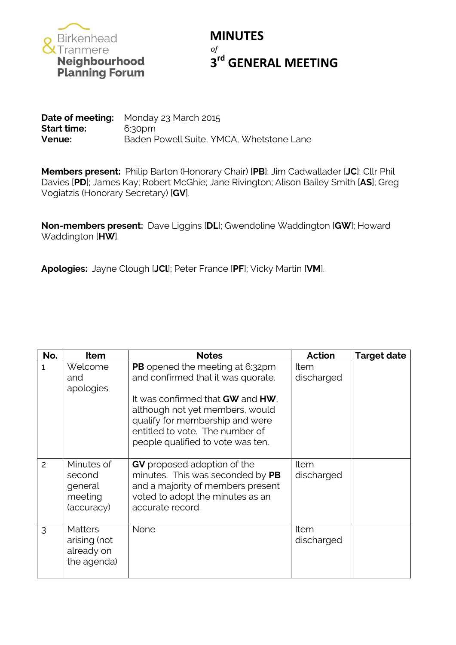

## **MINUTES** *of* **3<sup>rd</sup> GENERAL MEETING**

**Date of meeting:** Monday 23 March 2015 **Start time:** 6:30pm **Venue:** Baden Powell Suite, YMCA, Whetstone Lane

**Members present:** Philip Barton (Honorary Chair) [**PB**]; Jim Cadwallader [**JC**]; Cllr Phil Davies [**PD**]; James Kay; Robert McGhie; Jane Rivington; Alison Bailey Smith [**AS**]; Greg Vogiatzis (Honorary Secretary) [**GV**].

**Non-members present:** Dave Liggins [**DL**]; Gwendoline Waddington [**GW**]; Howard Waddington [**HW**].

**Apologies:** Jayne Clough [**JCl**]; Peter France [**PF**]; Vicky Martin [**VM**].

| No.          | <b>Item</b>                                                 | <b>Notes</b>                                                                                                                                                                   | <b>Action</b>      | <b>Target date</b> |
|--------------|-------------------------------------------------------------|--------------------------------------------------------------------------------------------------------------------------------------------------------------------------------|--------------------|--------------------|
| $\mathbf{1}$ | Welcome<br>and<br>apologies                                 | <b>PB</b> opened the meeting at 6:32pm<br>and confirmed that it was quorate.                                                                                                   | Item<br>discharged |                    |
|              |                                                             | It was confirmed that GW and HW.<br>although not yet members, would<br>qualify for membership and were<br>entitled to vote. The number of<br>people qualified to vote was ten. |                    |                    |
| 2            | Minutes of<br>second<br>general<br>meeting<br>(accuracy)    | <b>GV</b> proposed adoption of the<br>minutes. This was seconded by PB<br>and a majority of members present<br>voted to adopt the minutes as an<br>accurate record.            | Item<br>discharged |                    |
| 3            | <b>Matters</b><br>arising (not<br>already on<br>the agenda) | None                                                                                                                                                                           | Item<br>discharged |                    |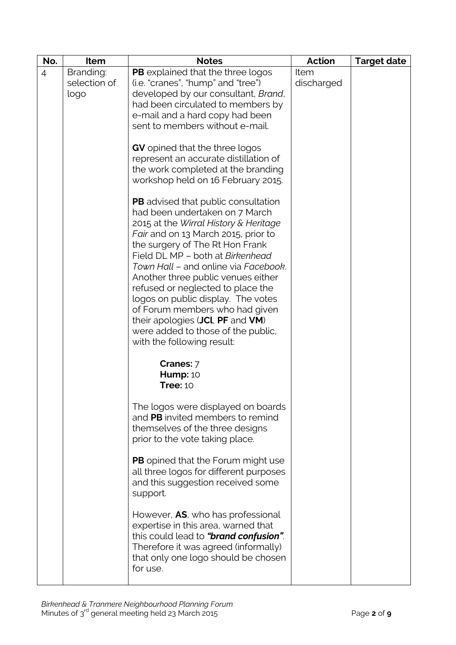| No.            | Item                              | <b>Notes</b>                                                                                                                                                                                                                                                                                                                                                                                                                                                                                                                           | <b>Action</b>      | <b>Target date</b> |
|----------------|-----------------------------------|----------------------------------------------------------------------------------------------------------------------------------------------------------------------------------------------------------------------------------------------------------------------------------------------------------------------------------------------------------------------------------------------------------------------------------------------------------------------------------------------------------------------------------------|--------------------|--------------------|
| $\overline{4}$ | Branding:<br>selection of<br>logo | PB explained that the three logos<br>(i.e. "cranes", "hump" and "tree")<br>developed by our consultant, Brand,<br>had been circulated to members by<br>e-mail and a hard copy had been<br>sent to members without e-mail.                                                                                                                                                                                                                                                                                                              | Item<br>discharged |                    |
|                |                                   | <b>GV</b> opined that the three logos<br>represent an accurate distillation of<br>the work completed at the branding<br>workshop held on 16 February 2015.                                                                                                                                                                                                                                                                                                                                                                             |                    |                    |
|                |                                   | <b>PB</b> advised that public consultation<br>had been undertaken on 7 March<br>2015 at the Wirral History & Heritage<br>Fair and on 13 March 2015, prior to<br>the surgery of The Rt Hon Frank<br>Field DL MP - both at Birkenhead<br>Town Hall - and online via Facebook.<br>Another three public venues either<br>refused or neglected to place the<br>logos on public display. The votes<br>of Forum members who had given<br>their apologies (JCI, PF and VM)<br>were added to those of the public,<br>with the following result: |                    |                    |
|                |                                   | Cranes: 7<br><b>Hump: 10</b><br><b>Tree: 10</b>                                                                                                                                                                                                                                                                                                                                                                                                                                                                                        |                    |                    |
|                |                                   | The logos were displayed on boards<br>and PB invited members to remind<br>themselves of the three designs<br>prior to the vote taking place.                                                                                                                                                                                                                                                                                                                                                                                           |                    |                    |
|                |                                   | <b>PB</b> opined that the Forum might use<br>all three logos for different purposes<br>and this suggestion received some<br>support.                                                                                                                                                                                                                                                                                                                                                                                                   |                    |                    |
|                |                                   | However, AS, who has professional<br>expertise in this area, warned that<br>this could lead to "brand confusion".<br>Therefore it was agreed (informally)<br>that only one logo should be chosen<br>for use.                                                                                                                                                                                                                                                                                                                           |                    |                    |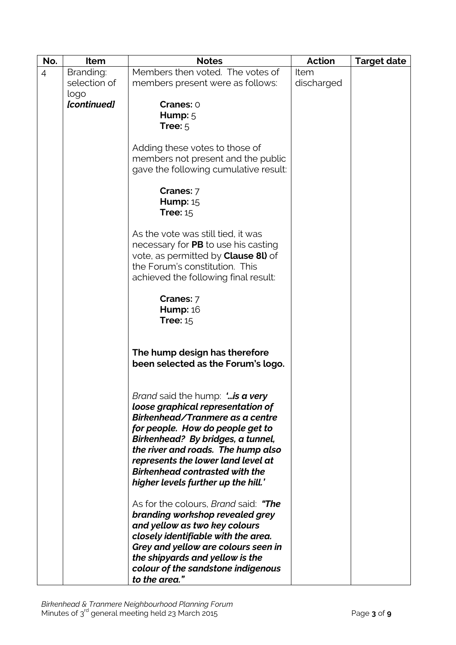| No.            | Item         | <b>Notes</b>                                                             | <b>Action</b> | <b>Target date</b> |
|----------------|--------------|--------------------------------------------------------------------------|---------------|--------------------|
| $\overline{4}$ | Branding:    | Members then voted. The votes of                                         | Item          |                    |
|                | selection of | members present were as follows:                                         | discharged    |                    |
|                | logo         |                                                                          |               |                    |
|                | [continued]  | Cranes: 0                                                                |               |                    |
|                |              | Hump: $5$                                                                |               |                    |
|                |              | Tree: $5$                                                                |               |                    |
|                |              |                                                                          |               |                    |
|                |              | Adding these votes to those of                                           |               |                    |
|                |              | members not present and the public                                       |               |                    |
|                |              | gave the following cumulative result:                                    |               |                    |
|                |              |                                                                          |               |                    |
|                |              | Cranes: 7                                                                |               |                    |
|                |              | <b>Hump: 15</b>                                                          |               |                    |
|                |              | Tree: $15$                                                               |               |                    |
|                |              | As the vote was still tied, it was                                       |               |                    |
|                |              | necessary for PB to use his casting                                      |               |                    |
|                |              | vote, as permitted by <b>Clause 8l)</b> of                               |               |                    |
|                |              | the Forum's constitution. This                                           |               |                    |
|                |              | achieved the following final result:                                     |               |                    |
|                |              |                                                                          |               |                    |
|                |              | Cranes: 7                                                                |               |                    |
|                |              | <b>Hump: 16</b>                                                          |               |                    |
|                |              | Tree: $15$                                                               |               |                    |
|                |              |                                                                          |               |                    |
|                |              | The hump design has therefore                                            |               |                    |
|                |              | been selected as the Forum's logo.                                       |               |                    |
|                |              |                                                                          |               |                    |
|                |              |                                                                          |               |                    |
|                |              | <i>Brand</i> said the hump: 'is a very                                   |               |                    |
|                |              | loose graphical representation of                                        |               |                    |
|                |              | Birkenhead/Tranmere as a centre                                          |               |                    |
|                |              | for people. How do people get to                                         |               |                    |
|                |              | Birkenhead? By bridges, a tunnel,                                        |               |                    |
|                |              | the river and roads. The hump also<br>represents the lower land level at |               |                    |
|                |              | <b>Birkenhead contrasted with the</b>                                    |               |                    |
|                |              | higher levels further up the hill.'                                      |               |                    |
|                |              |                                                                          |               |                    |
|                |              | As for the colours, <i>Brand</i> said: "The                              |               |                    |
|                |              | branding workshop revealed grey                                          |               |                    |
|                |              | and yellow as two key colours                                            |               |                    |
|                |              | closely identifiable with the area.                                      |               |                    |
|                |              | Grey and yellow are colours seen in                                      |               |                    |
|                |              | the shipyards and yellow is the                                          |               |                    |
|                |              | colour of the sandstone indigenous                                       |               |                    |
|                |              | to the area."                                                            |               |                    |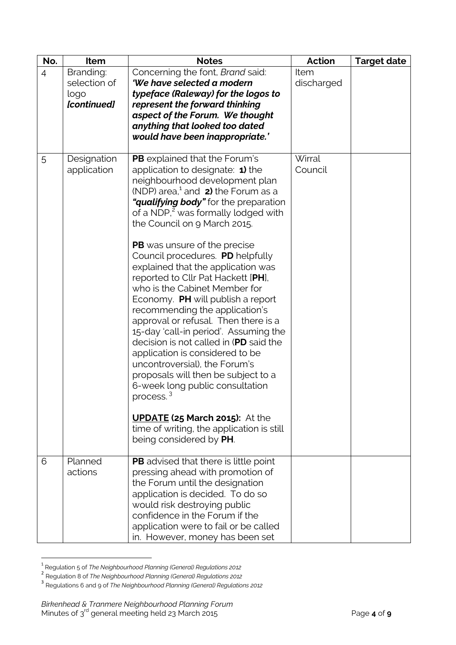| No.            | Item                                             | <b>Notes</b>                                                                                                                                                                                                                                                                                                                                                                                                                                                                                                                                                                                                                                                                                                                                                                                                                                                                                                                                                                      | <b>Action</b>      | <b>Target date</b> |
|----------------|--------------------------------------------------|-----------------------------------------------------------------------------------------------------------------------------------------------------------------------------------------------------------------------------------------------------------------------------------------------------------------------------------------------------------------------------------------------------------------------------------------------------------------------------------------------------------------------------------------------------------------------------------------------------------------------------------------------------------------------------------------------------------------------------------------------------------------------------------------------------------------------------------------------------------------------------------------------------------------------------------------------------------------------------------|--------------------|--------------------|
| $\overline{4}$ | Branding:<br>selection of<br>logo<br>[continued] | Concerning the font, Brand said:<br>'We have selected a modern<br>typeface (Raleway) for the logos to<br>represent the forward thinking<br>aspect of the Forum. We thought<br>anything that looked too dated<br>would have been inappropriate.'                                                                                                                                                                                                                                                                                                                                                                                                                                                                                                                                                                                                                                                                                                                                   | Item<br>discharged |                    |
| 5              | Designation<br>application                       | <b>PB</b> explained that the Forum's<br>application to designate: $\triangleleft$ ) the<br>neighbourhood development plan<br>(NDP) area, $^1$ and 2) the Forum as a<br>"qualifying body" for the preparation<br>of a NDP, <sup>2</sup> was formally lodged with<br>the Council on 9 March 2015.<br><b>PB</b> was unsure of the precise<br>Council procedures. PD helpfully<br>explained that the application was<br>reported to Cllr Pat Hackett [PH],<br>who is the Cabinet Member for<br>Economy. PH will publish a report<br>recommending the application's<br>approval or refusal. Then there is a<br>15-day 'call-in period'. Assuming the<br>decision is not called in (PD said the<br>application is considered to be<br>uncontroversial), the Forum's<br>proposals will then be subject to a<br>6-week long public consultation<br>process. <sup>3</sup><br><b>UPDATE (25 March 2015): At the</b><br>time of writing, the application is still<br>being considered by PH. | Wirral<br>Council  |                    |
| 6              | Planned<br>actions                               | PB advised that there is little point<br>pressing ahead with promotion of<br>the Forum until the designation<br>application is decided. To do so<br>would risk destroying public<br>confidence in the Forum if the<br>application were to fail or be called<br>in. However, money has been set                                                                                                                                                                                                                                                                                                                                                                                                                                                                                                                                                                                                                                                                                    |                    |                    |

<sup>—&</sup>lt;br><sup>1</sup> Regulation 5 of *The Neighbourhood Planning (General) Regulations 2012*<br><sup>2</sup> Regulation 8 of *The Neighbourhood Planning (General) Regulations 2012*<br><sup>3</sup> Regulations 6 and 9 of *The Neighbourhood Planning (General) Reg*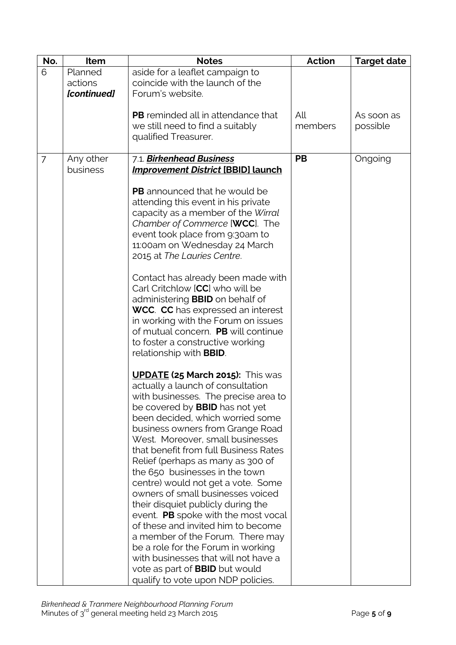| No.            | Item        | <b>Notes</b>                                                        | <b>Action</b> | <b>Target date</b> |
|----------------|-------------|---------------------------------------------------------------------|---------------|--------------------|
| 6              | Planned     | aside for a leaflet campaign to                                     |               |                    |
|                | actions     | coincide with the launch of the                                     |               |                    |
|                | [continued] | Forum's website.                                                    |               |                    |
|                |             | <b>PB</b> reminded all in attendance that                           | All           | As soon as         |
|                |             | we still need to find a suitably                                    | members       | possible           |
|                |             | qualified Treasurer.                                                |               |                    |
|                |             |                                                                     |               |                    |
| $\overline{7}$ | Any other   | 7.1. Birkenhead Business                                            | <b>PB</b>     | Ongoing            |
|                | business    | <b>Improvement District [BBID] launch</b>                           |               |                    |
|                |             |                                                                     |               |                    |
|                |             | <b>PB</b> announced that he would be                                |               |                    |
|                |             | attending this event in his private                                 |               |                    |
|                |             | capacity as a member of the Wirral                                  |               |                    |
|                |             | Chamber of Commerce [WCC]. The                                      |               |                    |
|                |             | event took place from 9:30am to                                     |               |                    |
|                |             | 11:00am on Wednesday 24 March                                       |               |                    |
|                |             | 2015 at The Lauries Centre.                                         |               |                    |
|                |             | Contact has already been made with                                  |               |                    |
|                |             | Carl Critchlow [CC] who will be                                     |               |                    |
|                |             | administering <b>BBID</b> on behalf of                              |               |                    |
|                |             | <b>WCC. CC</b> has expressed an interest                            |               |                    |
|                |             | in working with the Forum on issues                                 |               |                    |
|                |             | of mutual concern. PB will continue                                 |               |                    |
|                |             | to foster a constructive working                                    |               |                    |
|                |             | relationship with <b>BBID</b> .                                     |               |                    |
|                |             |                                                                     |               |                    |
|                |             | <b>UPDATE (25 March 2015):</b> This was                             |               |                    |
|                |             | actually a launch of consultation                                   |               |                    |
|                |             | with businesses. The precise area to                                |               |                    |
|                |             | be covered by <b>BBID</b> has not yet                               |               |                    |
|                |             | been decided, which worried some                                    |               |                    |
|                |             | business owners from Grange Road                                    |               |                    |
|                |             | West. Moreover, small businesses                                    |               |                    |
|                |             | that benefit from full Business Rates                               |               |                    |
|                |             | Relief (perhaps as many as 300 of<br>the 650 businesses in the town |               |                    |
|                |             | centre) would not get a vote. Some                                  |               |                    |
|                |             | owners of small businesses voiced                                   |               |                    |
|                |             | their disquiet publicly during the                                  |               |                    |
|                |             | event. PB spoke with the most vocal                                 |               |                    |
|                |             | of these and invited him to become                                  |               |                    |
|                |             | a member of the Forum. There may                                    |               |                    |
|                |             | be a role for the Forum in working                                  |               |                    |
|                |             | with businesses that will not have a                                |               |                    |
|                |             | vote as part of <b>BBID</b> but would                               |               |                    |
|                |             | qualify to vote upon NDP policies.                                  |               |                    |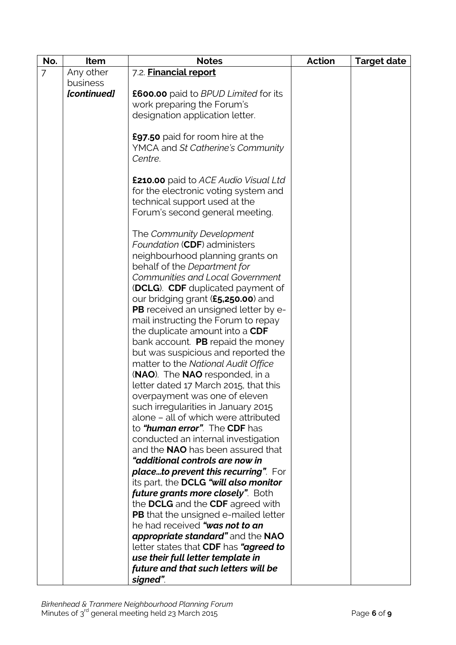| No.            | Item        | <b>Notes</b>                                       | <b>Action</b> | <b>Target date</b> |
|----------------|-------------|----------------------------------------------------|---------------|--------------------|
| $\overline{7}$ | Any other   | 7.2. Financial report                              |               |                    |
|                | business    |                                                    |               |                    |
|                | [continued] | <b>£600.00</b> paid to <i>BPUD Limited</i> for its |               |                    |
|                |             | work preparing the Forum's                         |               |                    |
|                |             | designation application letter.                    |               |                    |
|                |             |                                                    |               |                    |
|                |             | <b>£97.50</b> paid for room hire at the            |               |                    |
|                |             | YMCA and St Catherine's Community                  |               |                    |
|                |             | Centre.                                            |               |                    |
|                |             |                                                    |               |                    |
|                |             | <b>£210.00</b> paid to ACE Audio Visual Ltd        |               |                    |
|                |             | for the electronic voting system and               |               |                    |
|                |             | technical support used at the                      |               |                    |
|                |             | Forum's second general meeting.                    |               |                    |
|                |             |                                                    |               |                    |
|                |             | The Community Development                          |               |                    |
|                |             | Foundation (CDF) administers                       |               |                    |
|                |             | neighbourhood planning grants on                   |               |                    |
|                |             | behalf of the Department for                       |               |                    |
|                |             | <b>Communities and Local Government</b>            |               |                    |
|                |             | (DCLG). CDF duplicated payment of                  |               |                    |
|                |             | our bridging grant (£5,250.00) and                 |               |                    |
|                |             | <b>PB</b> received an unsigned letter by e-        |               |                    |
|                |             | mail instructing the Forum to repay                |               |                    |
|                |             | the duplicate amount into a CDF                    |               |                    |
|                |             | bank account. PB repaid the money                  |               |                    |
|                |             | but was suspicious and reported the                |               |                    |
|                |             | matter to the National Audit Office                |               |                    |
|                |             | (NAO). The NAO responded, in a                     |               |                    |
|                |             | letter dated 17 March 2015, that this              |               |                    |
|                |             | overpayment was one of eleven                      |               |                    |
|                |             | such irregularities in January 2015                |               |                    |
|                |             | alone - all of which were attributed               |               |                    |
|                |             | to "human error". The CDF has                      |               |                    |
|                |             | conducted an internal investigation                |               |                    |
|                |             | and the <b>NAO</b> has been assured that           |               |                    |
|                |             | "additional controls are now in                    |               |                    |
|                |             | placeto prevent this recurring". For               |               |                    |
|                |             | its part, the DCLG "will also monitor              |               |                    |
|                |             | <i>future grants more closely".</i> Both           |               |                    |
|                |             | the DCLG and the CDF agreed with                   |               |                    |
|                |             | <b>PB</b> that the unsigned e-mailed letter        |               |                    |
|                |             | he had received "was not to an                     |               |                    |
|                |             | appropriate standard" and the NAO                  |               |                    |
|                |             | letter states that CDF has "agreed to              |               |                    |
|                |             | use their full letter template in                  |               |                    |
|                |             | future and that such letters will be               |               |                    |
|                |             | signed".                                           |               |                    |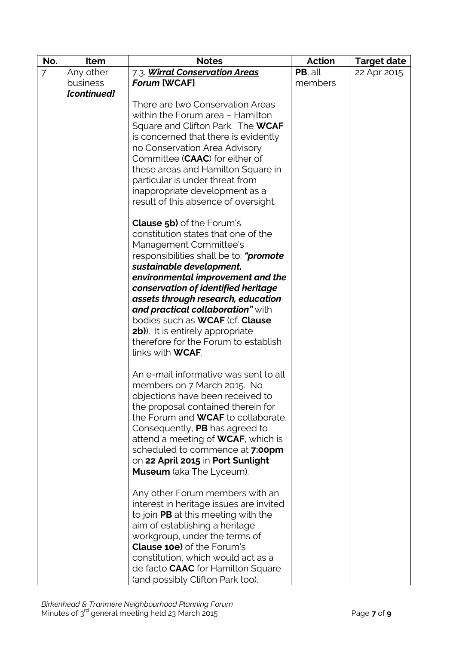| No.            | Item        | <b>Notes</b>                                                                    | <b>Action</b> | <b>Target date</b> |
|----------------|-------------|---------------------------------------------------------------------------------|---------------|--------------------|
| $\overline{7}$ | Any other   | 7.3 Wirral Conservation Areas                                                   | PB; all       | 22 Apr 2015        |
|                | business    | Forum [WCAF]                                                                    | members       |                    |
|                | [continued] |                                                                                 |               |                    |
|                |             | There are two Conservation Areas                                                |               |                    |
|                |             | within the Forum area - Hamilton                                                |               |                    |
|                |             | Square and Clifton Park. The WCAF                                               |               |                    |
|                |             | is concerned that there is evidently                                            |               |                    |
|                |             | no Conservation Area Advisory                                                   |               |                    |
|                |             | Committee (CAAC) for either of                                                  |               |                    |
|                |             | these areas and Hamilton Square in                                              |               |                    |
|                |             | particular is under threat from                                                 |               |                    |
|                |             | inappropriate development as a                                                  |               |                    |
|                |             | result of this absence of oversight.                                            |               |                    |
|                |             | <b>Clause 5b)</b> of the Forum's                                                |               |                    |
|                |             | constitution states that one of the                                             |               |                    |
|                |             | Management Committee's                                                          |               |                    |
|                |             | responsibilities shall be to: " <b>promote</b>                                  |               |                    |
|                |             | sustainable development,                                                        |               |                    |
|                |             | environmental improvement and the                                               |               |                    |
|                |             | conservation of identified heritage                                             |               |                    |
|                |             | assets through research, education                                              |               |                    |
|                |             | and practical collaboration" with                                               |               |                    |
|                |             | bodies such as <b>WCAF</b> (cf. <b>Clause</b>                                   |               |                    |
|                |             | <b>2b)</b> . It is entirely appropriate<br>therefore for the Forum to establish |               |                    |
|                |             | links with <b>WCAF</b> .                                                        |               |                    |
|                |             |                                                                                 |               |                    |
|                |             | An e-mail informative was sent to all                                           |               |                    |
|                |             | members on 7 March 2015. No                                                     |               |                    |
|                |             | objections have been received to                                                |               |                    |
|                |             | the proposal contained therein for                                              |               |                    |
|                |             | the Forum and <b>WCAF</b> to collaborate.                                       |               |                    |
|                |             | Consequently, PB has agreed to                                                  |               |                    |
|                |             | attend a meeting of <b>WCAF</b> , which is                                      |               |                    |
|                |             | scheduled to commence at 7:00pm                                                 |               |                    |
|                |             | on 22 April 2015 in Port Sunlight                                               |               |                    |
|                |             | <b>Museum</b> (aka The Lyceum).                                                 |               |                    |
|                |             | Any other Forum members with an                                                 |               |                    |
|                |             | interest in heritage issues are invited                                         |               |                    |
|                |             | to join PB at this meeting with the                                             |               |                    |
|                |             | aim of establishing a heritage                                                  |               |                    |
|                |             | workgroup, under the terms of                                                   |               |                    |
|                |             | <b>Clause 10e)</b> of the Forum's                                               |               |                    |
|                |             | constitution, which would act as a                                              |               |                    |
|                |             | de facto <b>CAAC</b> for Hamilton Square                                        |               |                    |
|                |             | (and possibly Clifton Park too).                                                |               |                    |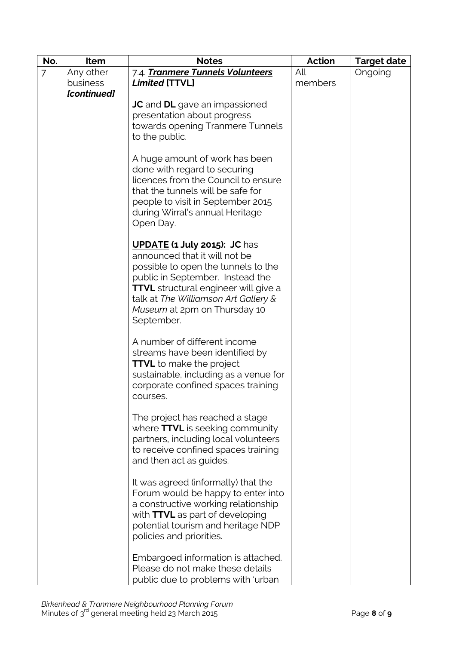| No.            | Item        | <b>Notes</b>                                                                                                                                                                                                                                                                         | <b>Action</b> | <b>Target date</b> |
|----------------|-------------|--------------------------------------------------------------------------------------------------------------------------------------------------------------------------------------------------------------------------------------------------------------------------------------|---------------|--------------------|
| $\overline{7}$ | Any other   | 7.4. Tranmere Tunnels Volunteers                                                                                                                                                                                                                                                     | All           | Ongoing            |
|                | business    | <b>Limited [TTVL]</b>                                                                                                                                                                                                                                                                | members       |                    |
|                | [continued] | <b>JC</b> and <b>DL</b> gave an impassioned<br>presentation about progress<br>towards opening Tranmere Tunnels<br>to the public.                                                                                                                                                     |               |                    |
|                |             | A huge amount of work has been<br>done with regard to securing<br>licences from the Council to ensure<br>that the tunnels will be safe for<br>people to visit in September 2015<br>during Wirral's annual Heritage<br>Open Day.                                                      |               |                    |
|                |             | <b>UPDATE (1 July 2015): JC has</b><br>announced that it will not be<br>possible to open the tunnels to the<br>public in September. Instead the<br><b>TTVL</b> structural engineer will give a<br>talk at The Williamson Art Gallery &<br>Museum at 2pm on Thursday 10<br>September. |               |                    |
|                |             | A number of different income<br>streams have been identified by<br><b>TTVL</b> to make the project<br>sustainable, including as a venue for<br>corporate confined spaces training<br>courses.                                                                                        |               |                    |
|                |             | The project has reached a stage<br>where TTVL is seeking community<br>partners, including local volunteers<br>to receive confined spaces training<br>and then act as guides.                                                                                                         |               |                    |
|                |             | It was agreed (informally) that the<br>Forum would be happy to enter into<br>a constructive working relationship<br>with TTVL as part of developing<br>potential tourism and heritage NDP<br>policies and priorities.                                                                |               |                    |
|                |             | Embargoed information is attached.<br>Please do not make these details<br>public due to problems with 'urban                                                                                                                                                                         |               |                    |